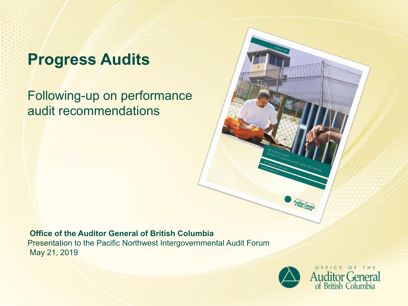# **Progress Audits**

Following-up on performance audit recommendations

#### **Office of the Auditor General of British Columbia**

Presentation to the Pacific Northwest Intergovernmental Audit Forum May 21, 2019

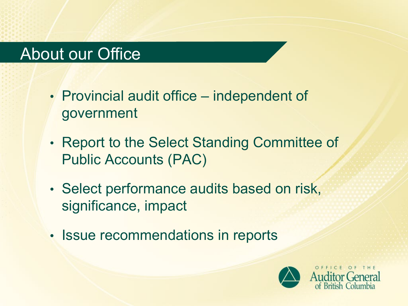## About our Office

- Provincial audit office independent of government
- Report to the Select Standing Committee of Public Accounts (PAC)
- Select performance audits based on risk, significance, impact
- Issue recommendations in reports

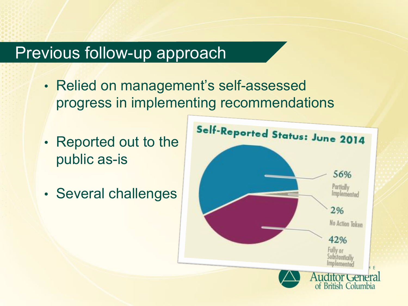#### Previous follow-up approach

- Relied on management's self-assessed progress in implementing recommendations
- Reported out to the public as-is
- Several challenges

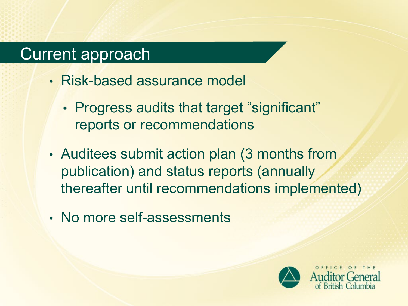## Current approach

- Risk-based assurance model
	- Progress audits that target "significant" reports or recommendations
- Auditees submit action plan (3 months from publication) and status reports (annually thereafter until recommendations implemented)
- No more self-assessments

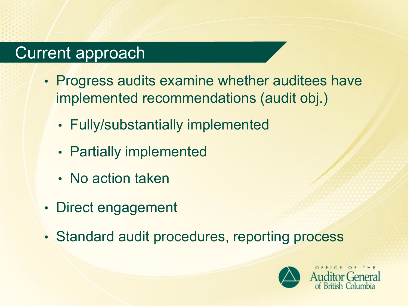## Current approach

- Progress audits examine whether auditees have implemented recommendations (audit obj.)
	- Fully/substantially implemented
	- Partially implemented
	- No action taken
- Direct engagement
- Standard audit procedures, reporting process

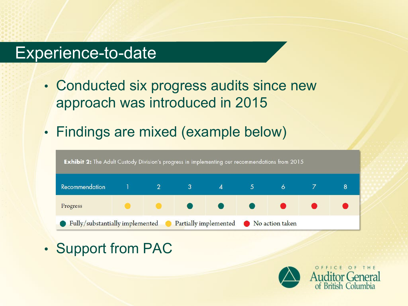#### Experience-to-date

- Conducted six progress audits since new approach was introduced in 2015
- Findings are mixed (example below)



• Support from PAC